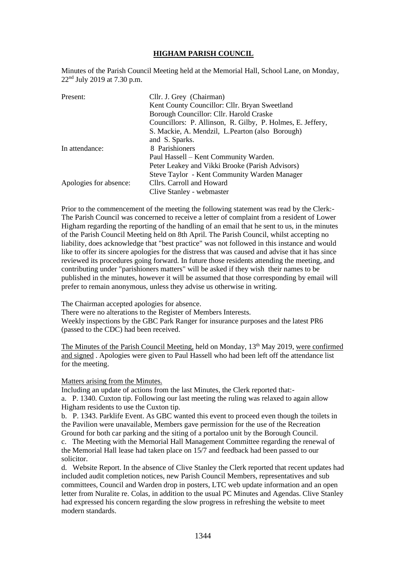## **HIGHAM PARISH COUNCIL**

Minutes of the Parish Council Meeting held at the Memorial Hall, School Lane, on Monday, 22nd July 2019 at 7.30 p.m.

| Present:               | Cllr. J. Grey (Chairman)                                   |
|------------------------|------------------------------------------------------------|
|                        | Kent County Councillor: Cllr. Bryan Sweetland              |
|                        | Borough Councillor: Cllr. Harold Craske                    |
|                        | Councillors: P. Allinson, R. Gilby, P. Holmes, E. Jeffery, |
|                        | S. Mackie, A. Mendzil, L. Pearton (also Borough)           |
|                        | and S. Sparks.                                             |
| In attendance:         | 8 Parishioners                                             |
|                        | Paul Hassell – Kent Community Warden.                      |
|                        | Peter Leakey and Vikki Brooke (Parish Advisors)            |
|                        | Steve Taylor - Kent Community Warden Manager               |
| Apologies for absence: | Cllrs. Carroll and Howard                                  |
|                        | Clive Stanley - webmaster                                  |

Prior to the commencement of the meeting the following statement was read by the Clerk:- The Parish Council was concerned to receive a letter of complaint from a resident of Lower Higham regarding the reporting of the handling of an email that he sent to us, in the minutes of the Parish Council Meeting held on 8th April. The Parish Council, whilst accepting no liability, does acknowledge that "best practice" was not followed in this instance and would like to offer its sincere apologies for the distress that was caused and advise that it has since reviewed its procedures going forward. In future those residents attending the meeting, and contributing under "parishioners matters" will be asked if they wish their names to be published in the minutes, however it will be assumed that those corresponding by email will prefer to remain anonymous, unless they advise us otherwise in writing.

The Chairman accepted apologies for absence.

There were no alterations to the Register of Members Interests.

Weekly inspections by the GBC Park Ranger for insurance purposes and the latest PR6 (passed to the CDC) had been received.

The Minutes of the Parish Council Meeting, held on Monday, 13<sup>th</sup> May 2019, were confirmed and signed . Apologies were given to Paul Hassell who had been left off the attendance list for the meeting.

### Matters arising from the Minutes.

Including an update of actions from the last Minutes, the Clerk reported that: a. P. 1340. Cuxton tip. Following our last meeting the ruling was relaxed to again allow Higham residents to use the Cuxton tip.

b. P. 1343. Parklife Event. As GBC wanted this event to proceed even though the toilets in the Pavilion were unavailable, Members gave permission for the use of the Recreation Ground for both car parking and the siting of a portaloo unit by the Borough Council.

c. The Meeting with the Memorial Hall Management Committee regarding the renewal of the Memorial Hall lease had taken place on 15/7 and feedback had been passed to our solicitor.

d. Website Report. In the absence of Clive Stanley the Clerk reported that recent updates had included audit completion notices, new Parish Council Members, representatives and sub committees, Council and Warden drop in posters, LTC web update information and an open letter from Nuralite re. Colas, in addition to the usual PC Minutes and Agendas. Clive Stanley had expressed his concern regarding the slow progress in refreshing the website to meet modern standards.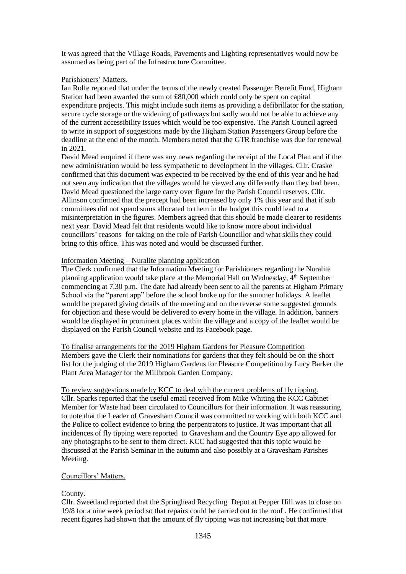It was agreed that the Village Roads, Pavements and Lighting representatives would now be assumed as being part of the Infrastructure Committee.

### Parishioners' Matters.

Ian Rolfe reported that under the terms of the newly created Passenger Benefit Fund, Higham Station had been awarded the sum of £80,000 which could only be spent on capital expenditure projects. This might include such items as providing a defibrillator for the station, secure cycle storage or the widening of pathways but sadly would not be able to achieve any of the current accessibility issues which would be too expensive. The Parish Council agreed to write in support of suggestions made by the Higham Station Passengers Group before the deadline at the end of the month. Members noted that the GTR franchise was due for renewal in 2021.

David Mead enquired if there was any news regarding the receipt of the Local Plan and if the new administration would be less sympathetic to development in the villages. Cllr. Craske confirmed that this document was expected to be received by the end of this year and he had not seen any indication that the villages would be viewed any differently than they had been. David Mead questioned the large carry over figure for the Parish Council reserves. Cllr. Allinson confirmed that the precept had been increased by only 1% this year and that if sub committees did not spend sums allocated to them in the budget this could lead to a misinterpretation in the figures. Members agreed that this should be made clearer to residents next year. David Mead felt that residents would like to know more about individual councillors' reasons for taking on the role of Parish Councillor and what skills they could bring to this office. This was noted and would be discussed further.

## Information Meeting – Nuralite planning application

The Clerk confirmed that the Information Meeting for Parishioners regarding the Nuralite planning application would take place at the Memorial Hall on Wednesday, 4th September commencing at 7.30 p.m. The date had already been sent to all the parents at Higham Primary School via the "parent app" before the school broke up for the summer holidays. A leaflet would be prepared giving details of the meeting and on the reverse some suggested grounds for objection and these would be delivered to every home in the village. In addition, banners would be displayed in prominent places within the village and a copy of the leaflet would be displayed on the Parish Council website and its Facebook page.

To finalise arrangements for the 2019 Higham Gardens for Pleasure Competition Members gave the Clerk their nominations for gardens that they felt should be on the short list for the judging of the 2019 Higham Gardens for Pleasure Competition by Lucy Barker the Plant Area Manager for the Millbrook Garden Company.

To review suggestions made by KCC to deal with the current problems of fly tipping. Cllr. Sparks reported that the useful email received from Mike Whiting the KCC Cabinet Member for Waste had been circulated to Councillors for their information. It was reassuring to note that the Leader of Gravesham Council was committed to working with both KCC and the Police to collect evidence to bring the perpentrators to justice. It was important that all incidences of fly tipping were reported to Gravesham and the Country Eye app allowed for any photographs to be sent to them direct. KCC had suggested that this topic would be discussed at the Parish Seminar in the autumn and also possibly at a Gravesham Parishes Meeting.

# Councillors' Matters.

# County.

Cllr. Sweetland reported that the Springhead Recycling Depot at Pepper Hill was to close on 19/8 for a nine week period so that repairs could be carried out to the roof . He confirmed that recent figures had shown that the amount of fly tipping was not increasing but that more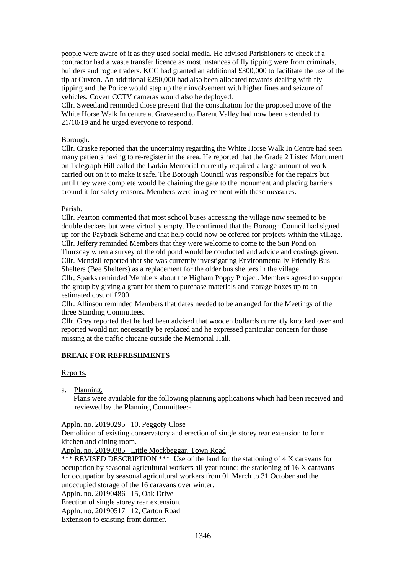people were aware of it as they used social media. He advised Parishioners to check if a contractor had a waste transfer licence as most instances of fly tipping were from criminals, builders and rogue traders. KCC had granted an additional £300,000 to facilitate the use of the tip at Cuxton. An additional £250,000 had also been allocated towards dealing with fly tipping and the Police would step up their involvement with higher fines and seizure of vehicles. Covert CCTV cameras would also be deployed.

Cllr. Sweetland reminded those present that the consultation for the proposed move of the White Horse Walk In centre at Gravesend to Darent Valley had now been extended to 21/10/19 and he urged everyone to respond.

### Borough.

Cllr. Craske reported that the uncertainty regarding the White Horse Walk In Centre had seen many patients having to re-register in the area. He reported that the Grade 2 Listed Monument on Telegraph Hill called the Larkin Memorial currently required a large amount of work carried out on it to make it safe. The Borough Council was responsible for the repairs but until they were complete would be chaining the gate to the monument and placing barriers around it for safety reasons. Members were in agreement with these measures.

### Parish.

Cllr. Pearton commented that most school buses accessing the village now seemed to be double deckers but were virtually empty. He confirmed that the Borough Council had signed up for the Payback Scheme and that help could now be offered for projects within the village. Cllr. Jeffery reminded Members that they were welcome to come to the Sun Pond on Thursday when a survey of the old pond would be conducted and advice and costings given. Cllr. Mendzil reported that she was currently investigating Environmentally Friendly Bus Shelters (Bee Shelters) as a replacement for the older bus shelters in the village.

Cllr, Sparks reminded Members about the Higham Poppy Project. Members agreed to support the group by giving a grant for them to purchase materials and storage boxes up to an estimated cost of £200.

Cllr. Allinson reminded Members that dates needed to be arranged for the Meetings of the three Standing Committees.

Cllr. Grey reported that he had been advised that wooden bollards currently knocked over and reported would not necessarily be replaced and he expressed particular concern for those missing at the traffic chicane outside the Memorial Hall.

# **BREAK FOR REFRESHMENTS**

Reports.

a. Planning.

 Plans were available for the following planning applications which had been received and reviewed by the Planning Committee:-

# Appln. no. 20190295 10, Peggoty Close

Demolition of existing conservatory and erection of single storey rear extension to form kitchen and dining room.

Appln. no. 20190385 Little Mockbeggar, Town Road

\*\*\* REVISED DESCRIPTION \*\*\* Use of the land for the stationing of 4 X caravans for occupation by seasonal agricultural workers all year round; the stationing of 16 X caravans for occupation by seasonal agricultural workers from 01 March to 31 October and the unoccupied storage of the 16 caravans over winter.

Appln. no. 20190486 15, Oak Drive

Erection of single storey rear extension.

Appln. no. 20190517 12, Carton Road

Extension to existing front dormer.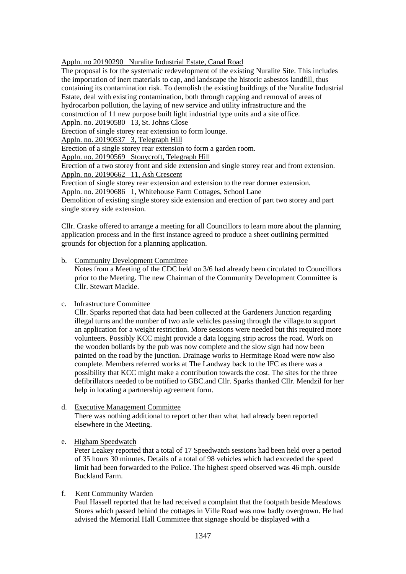Appln. no 20190290 Nuralite Industrial Estate, Canal Road

The proposal is for the systematic redevelopment of the existing Nuralite Site. This includes the importation of inert materials to cap, and landscape the historic asbestos landfill, thus containing its contamination risk. To demolish the existing buildings of the Nuralite Industrial Estate, deal with existing contamination, both through capping and removal of areas of hydrocarbon pollution, the laying of new service and utility infrastructure and the construction of 11 new purpose built light industrial type units and a site office.

Appln. no. 20190580 13, St. Johns Close

Erection of single storey rear extension to form lounge.

Appln. no. 20190537 3, Telegraph Hill

Erection of a single storey rear extension to form a garden room.

Appln. no. 20190569 Stonycroft, Telegraph Hill

Erection of a two storey front and side extension and single storey rear and front extension. Appln. no. 20190662 11, Ash Crescent

Erection of single storey rear extension and extension to the rear dormer extension.

Appln. no. 20190686 1, Whitehouse Farm Cottages, School Lane

Demolition of existing single storey side extension and erection of part two storey and part single storey side extension.

Cllr. Craske offered to arrange a meeting for all Councillors to learn more about the planning application process and in the first instance agreed to produce a sheet outlining permitted grounds for objection for a planning application.

b. Community Development Committee

 Notes from a Meeting of the CDC held on 3/6 had already been circulated to Councillors prior to the Meeting. The new Chairman of the Community Development Committee is Cllr. Stewart Mackie.

c. Infrastructure Committee

 Cllr. Sparks reported that data had been collected at the Gardeners Junction regarding illegal turns and the number of two axle vehicles passing through the village.to support an application for a weight restriction. More sessions were needed but this required more volunteers. Possibly KCC might provide a data logging strip across the road. Work on the wooden bollards by the pub was now complete and the slow sign had now been painted on the road by the junction. Drainage works to Hermitage Road were now also complete. Members referred works at The Landway back to the IFC as there was a possibility that KCC might make a contribution towards the cost. The sites for the three defibrillators needed to be notified to GBC.and Cllr. Sparks thanked Cllr. Mendzil for her help in locating a partnership agreement form.

d. Executive Management Committee There was nothing additional to report other than what had already been reported elsewhere in the Meeting.

# e. Higham Speedwatch

 Peter Leakey reported that a total of 17 Speedwatch sessions had been held over a period of 35 hours 30 minutes. Details of a total of 98 vehicles which had exceeded the speed limit had been forwarded to the Police. The highest speed observed was 46 mph. outside Buckland Farm.

# f. Kent Community Warden

 Paul Hassell reported that he had received a complaint that the footpath beside Meadows Stores which passed behind the cottages in Ville Road was now badly overgrown. He had advised the Memorial Hall Committee that signage should be displayed with a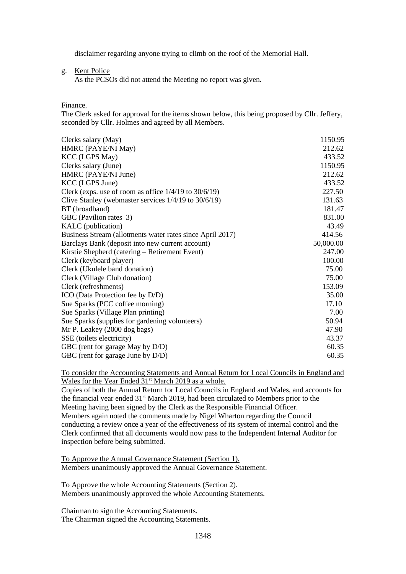disclaimer regarding anyone trying to climb on the roof of the Memorial Hall.

g. Kent Police

As the PCSOs did not attend the Meeting no report was given.

### Finance.

The Clerk asked for approval for the items shown below, this being proposed by Cllr. Jeffery, seconded by Cllr. Holmes and agreed by all Members.

| Clerks salary (May)                                        | 1150.95   |
|------------------------------------------------------------|-----------|
| HMRC (PAYE/NI May)                                         | 212.62    |
| <b>KCC</b> (LGPS May)                                      | 433.52    |
| Clerks salary (June)                                       | 1150.95   |
| HMRC (PAYE/NI June)                                        | 212.62    |
| KCC (LGPS June)                                            | 433.52    |
| Clerk (exps. use of room as office $1/4/19$ to $30/6/19$ ) | 227.50    |
| Clive Stanley (webmaster services $1/4/19$ to $30/6/19$ )  | 131.63    |
| BT (broadband)                                             | 181.47    |
| GBC (Pavilion rates 3)                                     | 831.00    |
| KALC (publication)                                         | 43.49     |
| Business Stream (allotments water rates since April 2017)  | 414.56    |
| Barclays Bank (deposit into new current account)           | 50,000.00 |
| Kirstie Shepherd (catering – Retirement Event)             | 247.00    |
| Clerk (keyboard player)                                    | 100.00    |
| Clerk (Ukulele band donation)                              | 75.00     |
| Clerk (Village Club donation)                              | 75.00     |
| Clerk (refreshments)                                       | 153.09    |
| ICO (Data Protection fee by D/D)                           | 35.00     |
| Sue Sparks (PCC coffee morning)                            | 17.10     |
| Sue Sparks (Village Plan printing)                         | 7.00      |
| Sue Sparks (supplies for gardening volunteers)             | 50.94     |
| Mr P. Leakey (2000 dog bags)                               | 47.90     |
| SSE (toilets electricity)                                  | 43.37     |
| GBC (rent for garage May by D/D)                           | 60.35     |
| GBC (rent for garage June by D/D)                          | 60.35     |

To consider the Accounting Statements and Annual Return for Local Councils in England and Wales for the Year Ended 31<sup>st</sup> March 2019 as a whole.

Copies of both the Annual Return for Local Councils in England and Wales, and accounts for the financial year ended 31st March 2019, had been circulated to Members prior to the Meeting having been signed by the Clerk as the Responsible Financial Officer. Members again noted the comments made by Nigel Wharton regarding the Council conducting a review once a year of the effectiveness of its system of internal control and the Clerk confirmed that all documents would now pass to the Independent Internal Auditor for inspection before being submitted.

To Approve the Annual Governance Statement (Section 1). Members unanimously approved the Annual Governance Statement.

To Approve the whole Accounting Statements (Section 2). Members unanimously approved the whole Accounting Statements.

Chairman to sign the Accounting Statements. The Chairman signed the Accounting Statements.